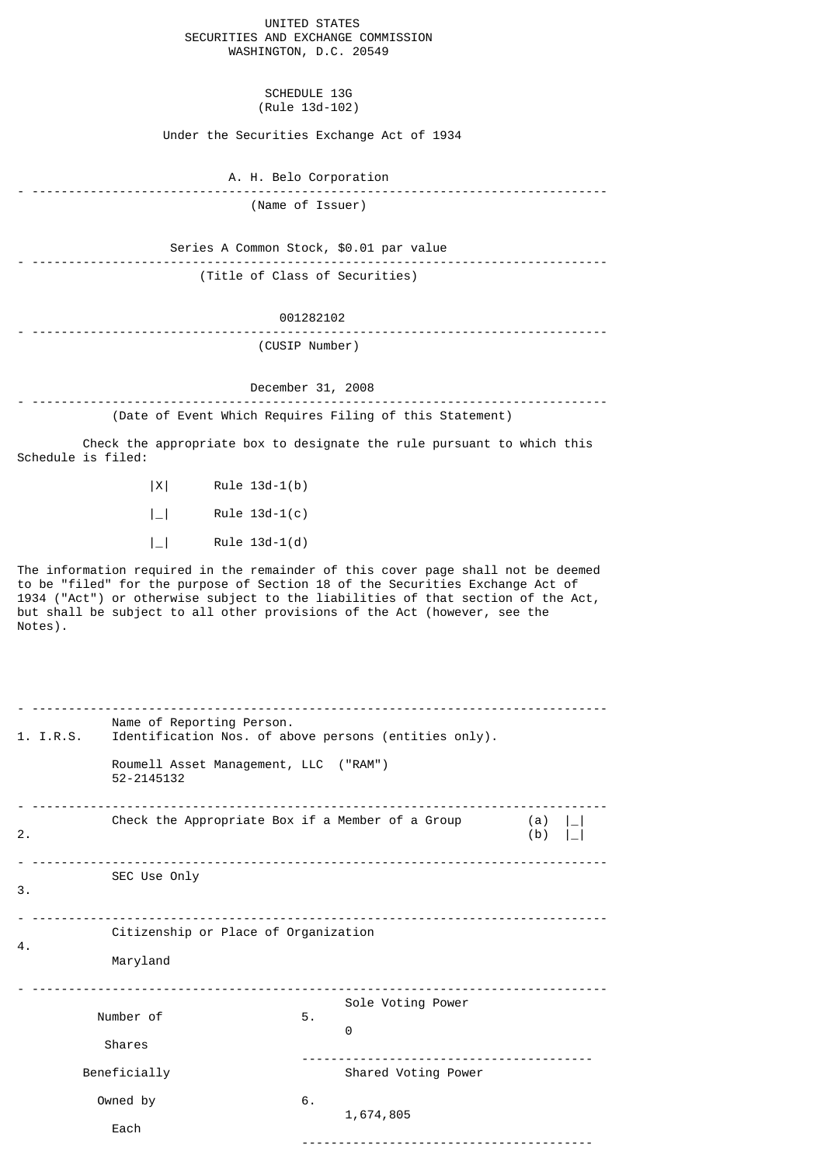|                                    | UNITED STATES |  |  |  |
|------------------------------------|---------------|--|--|--|
| SECURITIES AND EXCHANGE COMMISSION |               |  |  |  |
| WASHINGTON, D.C. 20549             |               |  |  |  |

SCHEDULE 13G (Rule 13d-102)

Under the Securities Exchange Act of 1934

A. H. Belo Corporation

- ------------------------------------------------------------------------------- (Name of Issuer)

 Series A Common Stock, \$0.01 par value - -------------------------------------------------------------------------------

(Title of Class of Securities)

001282102

- -------------------------------------------------------------------------------

(CUSIP Number)

December 31, 2008

- ------------------------------------------------------------------------------- (Date of Event Which Requires Filing of this Statement)

 Check the appropriate box to designate the rule pursuant to which this Schedule is filed:

> |X| Rule 13d-1(b) |\_| Rule 13d-1(c)

 $|$  | Rule 13d-1(d)

The information required in the remainder of this cover page shall not be deemed to be "filed" for the purpose of Section 18 of the Securities Exchange Act of 1934 ("Act") or otherwise subject to the liabilities of that section of the Act, but shall be subject to all other provisions of the Act (however, see the Notes).

|                                                        | 1. I.R.S. | Name of Reporting Person.<br>Identification Nos. of above persons (entities only).<br>Roumell Asset Management, LLC ("RAM")<br>52-2145132 |    |                        |                  |  |
|--------------------------------------------------------|-----------|-------------------------------------------------------------------------------------------------------------------------------------------|----|------------------------|------------------|--|
| 2.                                                     |           | Check the Appropriate Box if a Member of a Group                                                                                          |    |                        | $(a)$    <br>(b) |  |
|                                                        |           | SEC Use Only                                                                                                                              |    |                        |                  |  |
| 3.                                                     |           |                                                                                                                                           |    |                        |                  |  |
| Citizenship or Place of Organization<br>4.<br>Maryland |           |                                                                                                                                           |    |                        |                  |  |
|                                                        |           | Number of<br>Shares                                                                                                                       | 5. | Sole Voting Power<br>0 |                  |  |
|                                                        |           | Beneficially                                                                                                                              |    | Shared Voting Power    |                  |  |
|                                                        |           | Owned by<br>Each                                                                                                                          | 6. | 1,674,805              |                  |  |
|                                                        |           |                                                                                                                                           |    |                        |                  |  |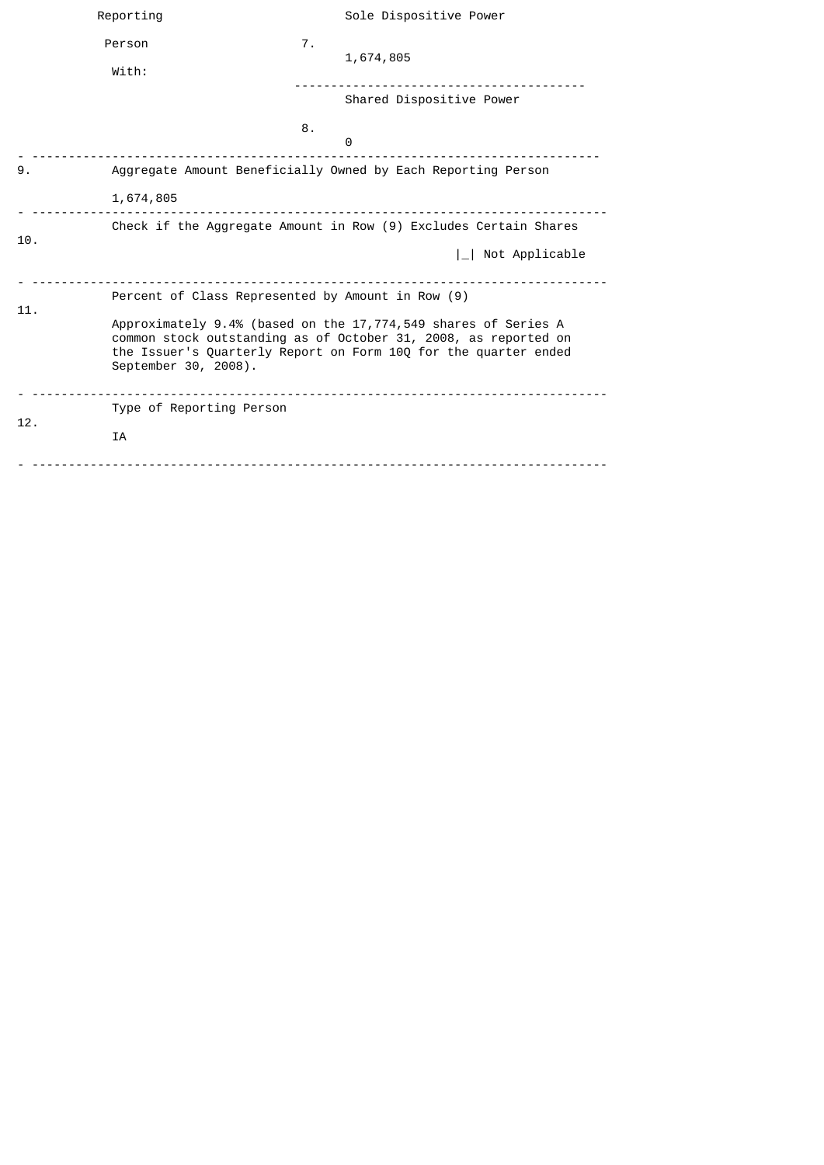|     | Reporting                                                                                                                                                                                                                    |    | Sole Dispositive Power   |
|-----|------------------------------------------------------------------------------------------------------------------------------------------------------------------------------------------------------------------------------|----|--------------------------|
|     | Person<br>With:                                                                                                                                                                                                              | 7. | 1,674,805                |
|     |                                                                                                                                                                                                                              |    | Shared Dispositive Power |
|     |                                                                                                                                                                                                                              | 8. | 0                        |
| 9.  | Aggregate Amount Beneficially Owned by Each Reporting Person                                                                                                                                                                 |    |                          |
|     | 1,674,805                                                                                                                                                                                                                    |    |                          |
| 10. | Check if the Aggregate Amount in Row (9) Excludes Certain Shares                                                                                                                                                             |    |                          |
|     |                                                                                                                                                                                                                              |    | Not Applicable           |
| 11. | Percent of Class Represented by Amount in Row (9)                                                                                                                                                                            |    |                          |
|     | Approximately 9.4% (based on the 17,774,549 shares of Series A<br>common stock outstanding as of October 31, 2008, as reported on<br>the Issuer's Quarterly Report on Form 10Q for the quarter ended<br>September 30, 2008). |    |                          |
| 12. | Type of Reporting Person                                                                                                                                                                                                     |    |                          |
|     | <b>IA</b>                                                                                                                                                                                                                    |    |                          |
|     |                                                                                                                                                                                                                              |    |                          |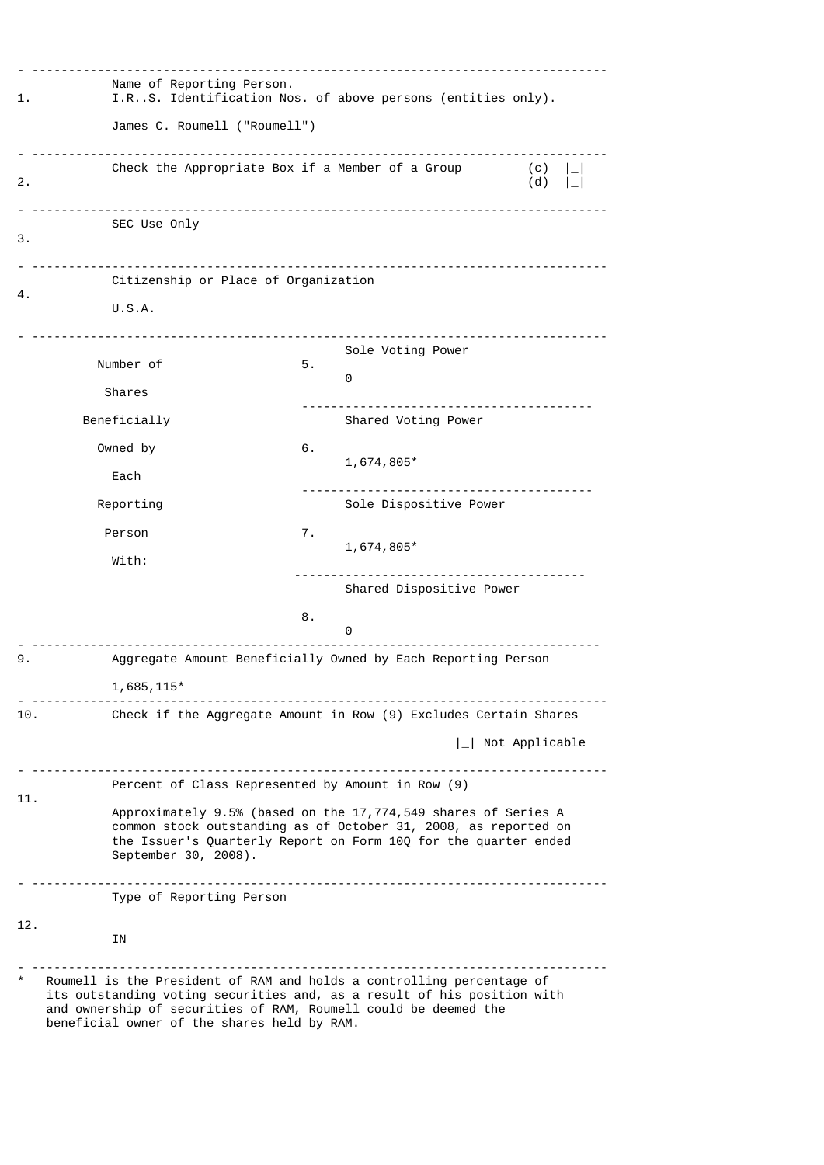| 1.  |                                                                                                                                                                                                                                                                    | Name of Reporting Person.<br>I.RS. Identification Nos. of above persons (entities only). |                                                                  |                        |  |  |
|-----|--------------------------------------------------------------------------------------------------------------------------------------------------------------------------------------------------------------------------------------------------------------------|------------------------------------------------------------------------------------------|------------------------------------------------------------------|------------------------|--|--|
|     | James C. Roumell ("Roumell")                                                                                                                                                                                                                                       |                                                                                          |                                                                  |                        |  |  |
| 2.  | Check the Appropriate Box if a Member of a Group                                                                                                                                                                                                                   |                                                                                          |                                                                  | $(c)$    <br>(d)       |  |  |
| 3.  | SEC Use Only                                                                                                                                                                                                                                                       |                                                                                          |                                                                  |                        |  |  |
|     | Citizenship or Place of Organization                                                                                                                                                                                                                               |                                                                                          |                                                                  |                        |  |  |
| 4.  | U.S.A.                                                                                                                                                                                                                                                             |                                                                                          |                                                                  |                        |  |  |
|     | <u></u><br>Number of                                                                                                                                                                                                                                               | 5.                                                                                       | Sole Voting Power                                                |                        |  |  |
|     | Shares                                                                                                                                                                                                                                                             |                                                                                          | 0                                                                |                        |  |  |
|     | Beneficially                                                                                                                                                                                                                                                       |                                                                                          | Shared Voting Power                                              |                        |  |  |
|     | Owned by                                                                                                                                                                                                                                                           | 6.                                                                                       |                                                                  |                        |  |  |
|     | Each                                                                                                                                                                                                                                                               |                                                                                          | $1,674,805*$                                                     |                        |  |  |
|     | Reporting                                                                                                                                                                                                                                                          |                                                                                          | Sole Dispositive Power                                           |                        |  |  |
|     | Person                                                                                                                                                                                                                                                             | 7.                                                                                       | 1,674,805*                                                       |                        |  |  |
|     | With:                                                                                                                                                                                                                                                              |                                                                                          |                                                                  |                        |  |  |
|     |                                                                                                                                                                                                                                                                    |                                                                                          | Shared Dispositive Power                                         |                        |  |  |
|     |                                                                                                                                                                                                                                                                    | 8.                                                                                       | 0                                                                |                        |  |  |
| 9.  |                                                                                                                                                                                                                                                                    |                                                                                          | Aggregate Amount Beneficially Owned by Each Reporting Person     |                        |  |  |
|     | $1,685,115*$                                                                                                                                                                                                                                                       |                                                                                          |                                                                  |                        |  |  |
| 10. |                                                                                                                                                                                                                                                                    |                                                                                          | Check if the Aggregate Amount in Row (9) Excludes Certain Shares |                        |  |  |
|     |                                                                                                                                                                                                                                                                    |                                                                                          |                                                                  | $\vert$ Not Applicable |  |  |
|     | Percent of Class Represented by Amount in Row (9)                                                                                                                                                                                                                  |                                                                                          |                                                                  |                        |  |  |
| 11. | Approximately 9.5% (based on the 17,774,549 shares of Series A<br>common stock outstanding as of October 31, 2008, as reported on<br>the Issuer's Quarterly Report on Form 10Q for the quarter ended<br>September 30, 2008).                                       |                                                                                          |                                                                  |                        |  |  |
|     | Type of Reporting Person                                                                                                                                                                                                                                           |                                                                                          |                                                                  |                        |  |  |
| 12. | ΙN                                                                                                                                                                                                                                                                 |                                                                                          |                                                                  |                        |  |  |
|     | Roumell is the President of RAM and holds a controlling percentage of<br>its outstanding voting securities and, as a result of his position with<br>and ownership of securities of RAM, Roumell could be deemed the<br>beneficial owner of the shares held by RAM. |                                                                                          |                                                                  |                        |  |  |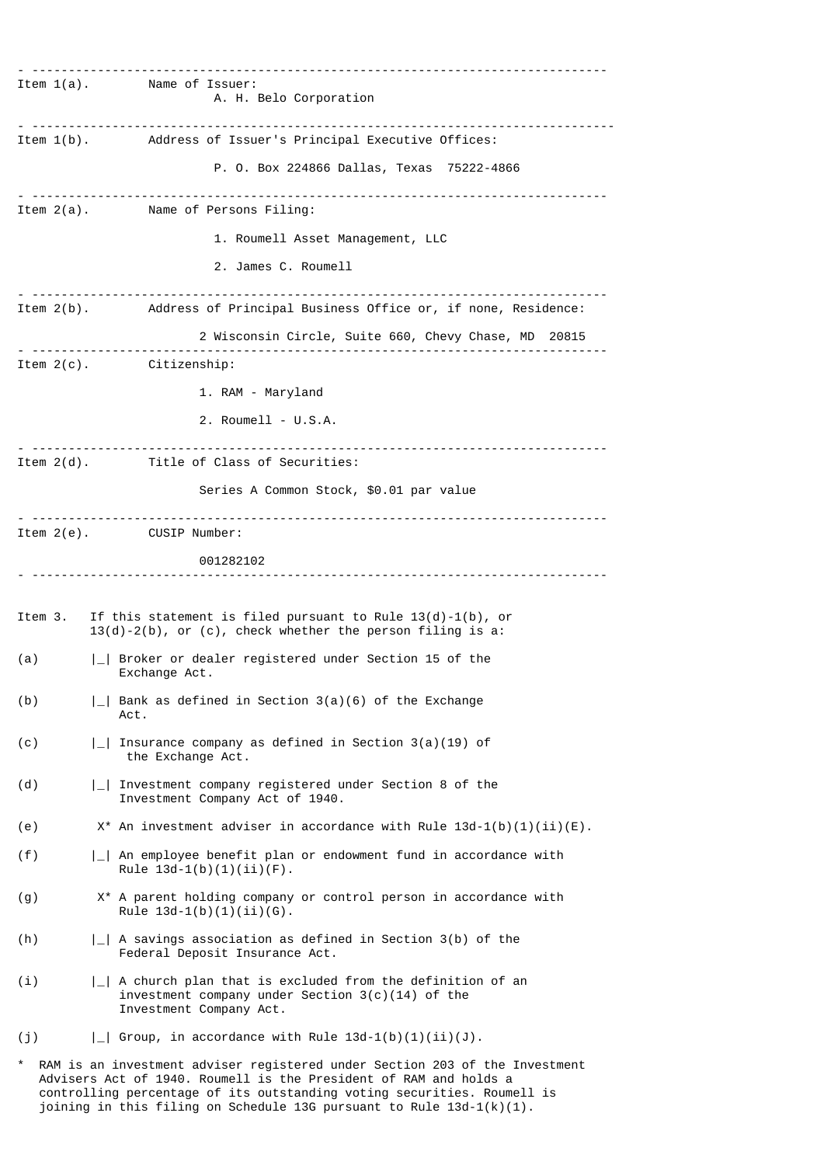- ------------------------------------------------------------------------------- Item 1(a). Name of Issuer: A. H. Belo Corporation - -------------------------------------------------------------------------------- Item 1(b). Address of Issuer's Principal Executive Offices: P. O. Box 224866 Dallas, Texas 75222-4866 - ------------------------------------------------------------------------------- Name of Persons Filing: 1. Roumell Asset Management, LLC 2. James C. Roumell - ------------------------------------------------------------------------------- Item 2(b). Address of Principal Business Office or, if none, Residence: 2 Wisconsin Circle, Suite 660, Chevy Chase, MD 20815 - ------------------------------------------------------------------------------- Item 2(c). Citizenship: 1. RAM - Maryland 2. Roumell - U.S.A. - ------------------------------------------------------------------------------- Title of Class of Securities: Series A Common Stock, \$0.01 par value - ------------------------------------------------------------------------------- Item 2(e). CUSIP Number: 001282102 - ------------------------------------------------------------------------------- Item 3. If this statement is filed pursuant to Rule 13(d)-1(b), or 13(d)-2(b), or (c), check whether the person filing is a: (a) |\_| Broker or dealer registered under Section 15 of the Exchange Act. (b)  $|-|$  Bank as defined in Section 3(a)(6) of the Exchange Act. (c)  $\vert \_ \vert$  Insurance company as defined in Section 3(a)(19) of the Exchange Act. (d)  $|\_|$  Investment company registered under Section 8 of the Investment Company Act of 1940. (e)  $X^*$  An investment adviser in accordance with Rule 13d-1(b)(1)(ii)(E). (f) |\_| An employee benefit plan or endowment fund in accordance with Rule  $13d-1(b)(1)(ii)(F)$ . (g) X\* A parent holding company or control person in accordance with Rule  $13d-1(b)(1)(ii)(G)$ . (h) |\_| A savings association as defined in Section 3(b) of the Federal Deposit Insurance Act. (i) |\_| A church plan that is excluded from the definition of an investment company under Section 3(c)(14) of the Investment Company Act. (j)  $|-|$  Group, in accordance with Rule 13d-1(b)(1)(ii)(J). RAM is an investment adviser registered under Section 203 of the Investment

 Advisers Act of 1940. Roumell is the President of RAM and holds a controlling percentage of its outstanding voting securities. Roumell is joining in this filing on Schedule 13G pursuant to Rule  $13d-1(k)(1)$ .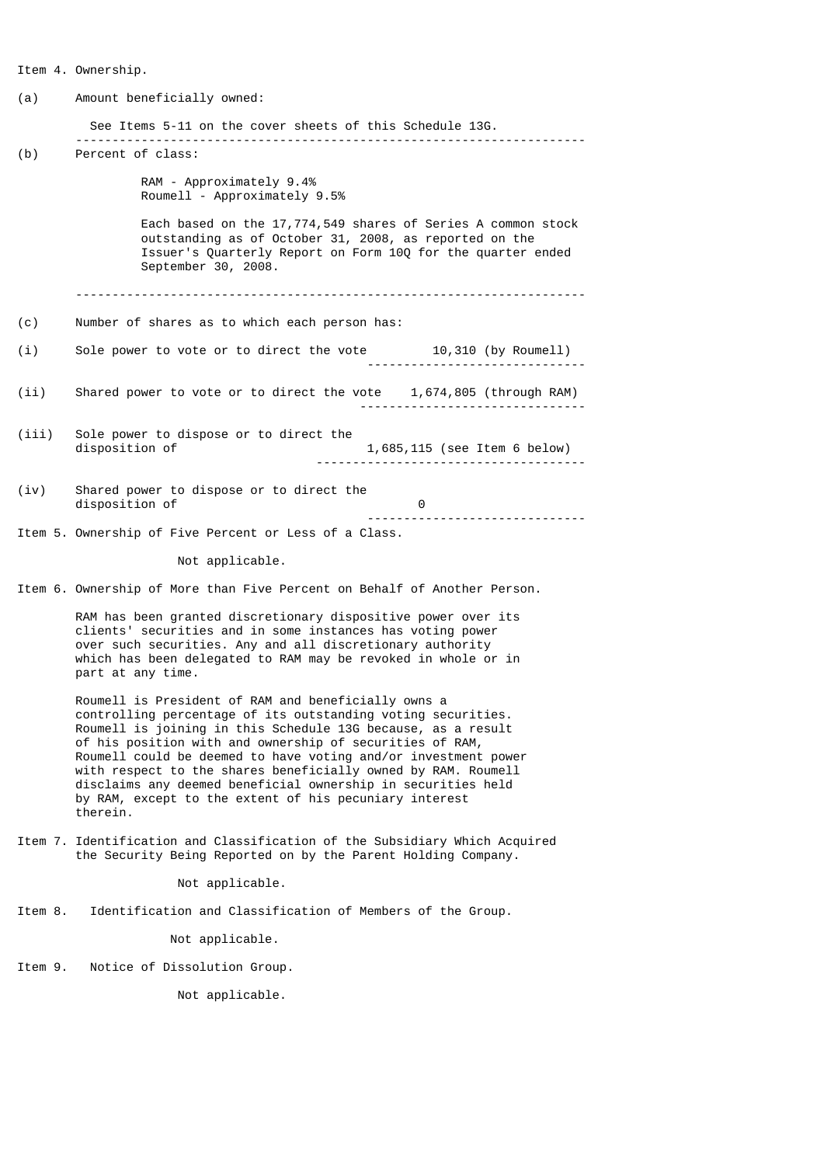Item 4. Ownership. (a) Amount beneficially owned: See Items 5-11 on the cover sheets of this Schedule 13G. ---------------------------------------------------------------------- (b) Percent of class: RAM - Approximately 9.4% Roumell - Approximately 9.5% Each based on the 17,774,549 shares of Series A common stock outstanding as of October 31, 2008, as reported on the Issuer's Quarterly Report on Form 10Q for the quarter ended September 30, 2008. ---------------------------------------------------------------------- (c) Number of shares as to which each person has: (i) Sole power to vote or to direct the vote 10,310 (by Roumell) ------------------------------ (ii) Shared power to vote or to direct the vote 1,674,805 (through RAM) ------------------------------- (iii) Sole power to dispose or to direct the<br>disposition of 1,685,115 (see Item 6 below) ------------------------------------- (iv) Shared power to dispose or to direct the disposition of 0 ------------------------------ Item 5. Ownership of Five Percent or Less of a Class. Not applicable. Item 6. Ownership of More than Five Percent on Behalf of Another Person. RAM has been granted discretionary dispositive power over its clients' securities and in some instances has voting power over such securities. Any and all discretionary authority which has been delegated to RAM may be revoked in whole or in part at any time. Roumell is President of RAM and beneficially owns a controlling percentage of its outstanding voting securities. Roumell is joining in this Schedule 13G because, as a result of his position with and ownership of securities of RAM, Roumell could be deemed to have voting and/or investment power with respect to the shares beneficially owned by RAM. Roumell disclaims any deemed beneficial ownership in securities held by RAM, except to the extent of his pecuniary interest therein. Item 7. Identification and Classification of the Subsidiary Which Acquired the Security Being Reported on by the Parent Holding Company. Not applicable. Item 8. Identification and Classification of Members of the Group. Not applicable. Item 9. Notice of Dissolution Group.

Not applicable.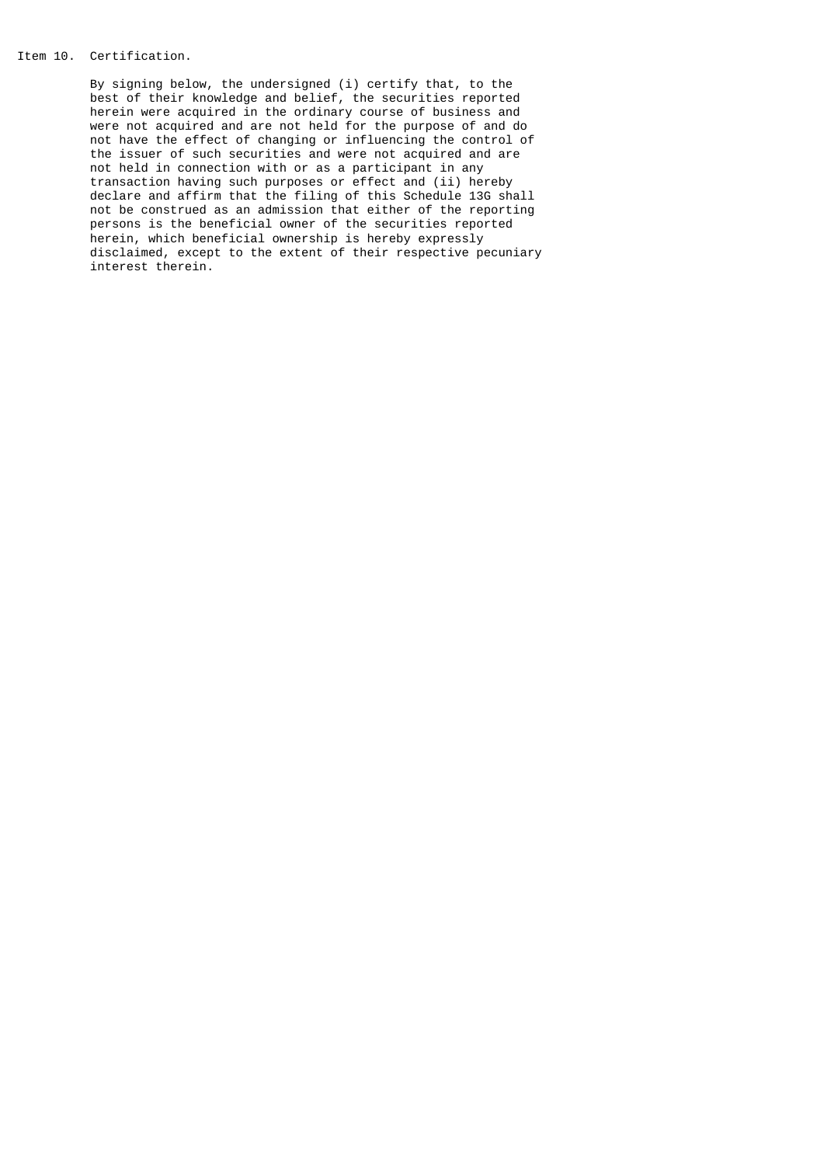## Item 10. Certification.

 By signing below, the undersigned (i) certify that, to the best of their knowledge and belief, the securities reported herein were acquired in the ordinary course of business and were not acquired and are not held for the purpose of and do not have the effect of changing or influencing the control of the issuer of such securities and were not acquired and are not held in connection with or as a participant in any transaction having such purposes or effect and (ii) hereby declare and affirm that the filing of this Schedule 13G shall not be construed as an admission that either of the reporting persons is the beneficial owner of the securities reported herein, which beneficial ownership is hereby expressly disclaimed, except to the extent of their respective pecuniary interest therein.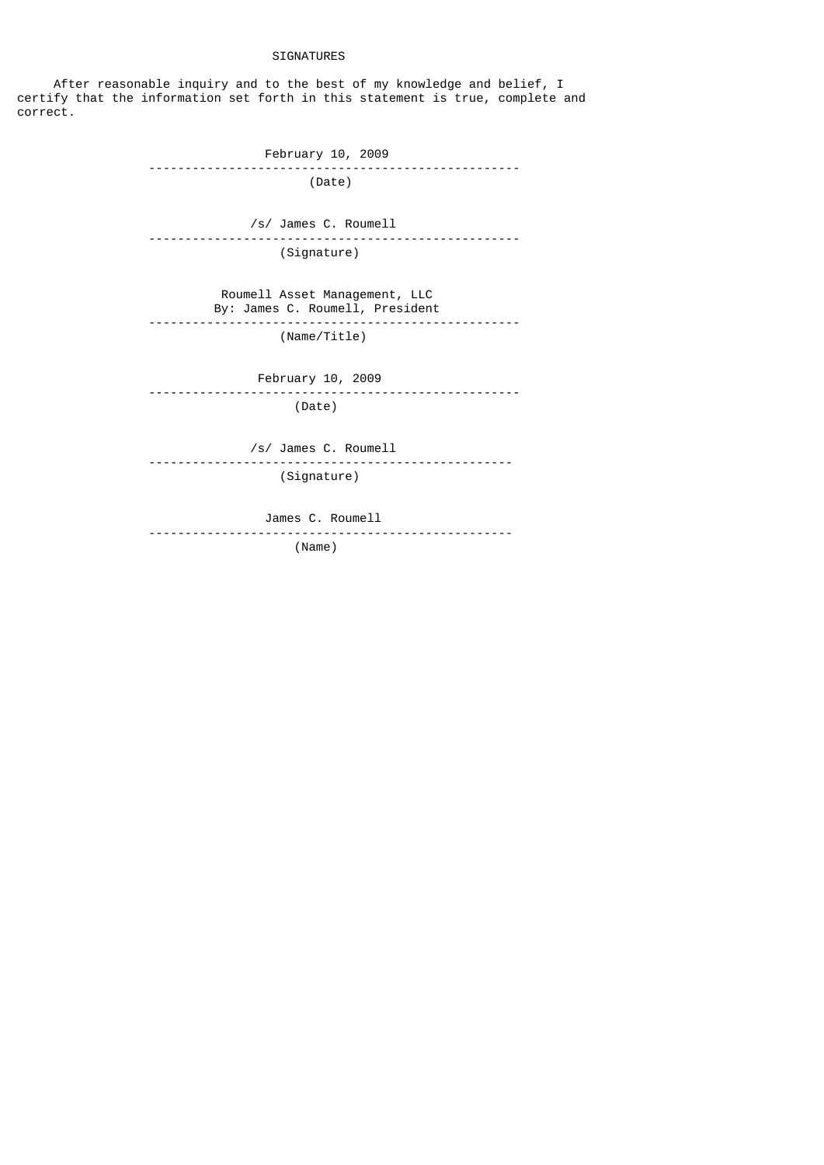## SIGNATURES

After reasonable inquiry and to the best of my knowledge and belief, I certify that the information set forth in this statement is true, complete and correct.

 February 10, 2009 --------------------------------------------------- (Date) /s/ James C. Roumell --------------------------------------------------- (Signature) Roumell Asset Management, LLC By: James C. Roumell, President --------------------------------------------------- (Name/Title) February 10, 2009 --------------------------------------------------- (Date) /s/ James C. Roumell -------------------------------------------------- (Signature) James C. Roumell -------------------------------------------------- (Name)